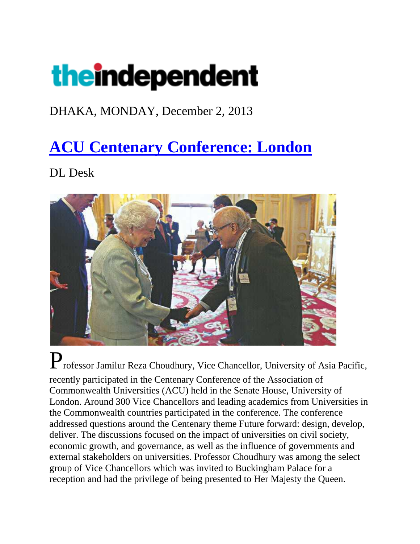# theindependent

#### DHAKA, MONDAY, December 2, 2013

## **[ACU Centenary Conference: London](http://www.theindependentbd.com/index.php?option=com_content&view=article&id=195240:acu-centenary-conference-london&catid=182:city-life&Itemid=220)**

DL Desk



Professor Jamilur Reza Choudhury, Vice Chancellor, University of Asia Pacific, recently participated in the Centenary Conference of the Association of Commonwealth Universities (ACU) held in the Senate House, University of London. Around 300 Vice Chancellors and leading academics from Universities in the Commonwealth countries participated in the conference. The conference addressed questions around the Centenary theme Future forward: design, develop, deliver. The discussions focused on the impact of universities on civil society, economic growth, and governance, as well as the influence of governments and external stakeholders on universities. Professor Choudhury was among the select group of Vice Chancellors which was invited to Buckingham Palace for a reception and had the privilege of being presented to Her Majesty the Queen.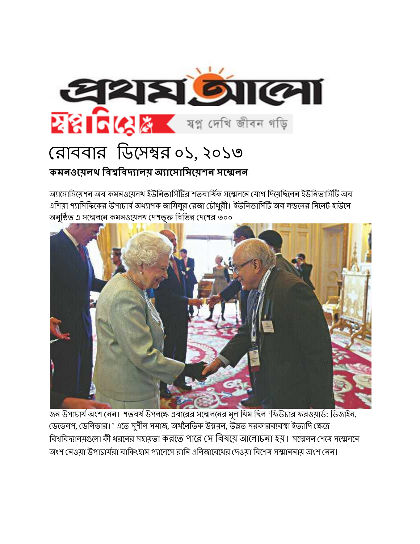

অ্যাসোসিযেশন অব কমনওযেলথ ইউনিভার্সিটির শতবার্ষিক সম্মেলনে যোগ দিযেছিলেন ইউনিভার্সিটি অব এশিয়া প্যাসিফিকের উপাচার্য অধ্যাপক জামিলুর রেজা চৌধুরী। ইউনিভার্সিটি অব লন্ডনের সিনেট হাউসে অনুষ্ঠিত এ সম্মেলনে কমনওয়েলখ দেশভুক্ত বিভিন্ন দেশের ৩০০



জন উপাচার্য অংশ নেন। শতবর্ষ উপলক্ষে এবারের সম্মেলনের মূল থিম ছিল 'ফিউচার ফরওয়ার্ড: ডিজাইন, জেেলপ, ডেলিভার।' এতে সুশীল সমাজ, অর্থনৈতিক উন্নয়ন, উন্নত সরকারব্যবস্থা ইত্যাদি ক্ষেত্রে বিশ্ববিদ্যালয়গুলো কী ধরনের সহায়তা করতে পারে সে বিষয়ে আলোচনা হয়। সম্মেলন শেষে সম্মেলনে অংশ নেওযা উপাচার্যরা বাকিংহাম প্যালেসে রানি এলিজাবেথের দেওযা বিশেষ সম্মাননায অংশ নেন।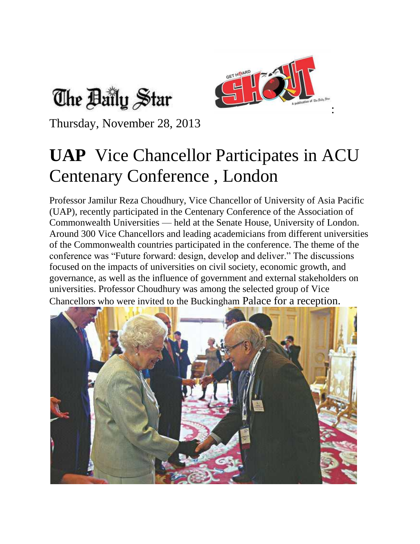



Thursday, November 28, 2013

## **UAP** Vice Chancellor Participates in ACU Centenary Conference , London

Professor Jamilur Reza Choudhury, Vice Chancellor of University of Asia Pacific (UAP), recently participated in the Centenary Conference of the Association of Commonwealth Universities — held at the Senate House, University of London. Around 300 Vice Chancellors and leading academicians from different universities of the Commonwealth countries participated in the conference. The theme of the conference was "Future forward: design, develop and deliver." The discussions focused on the impacts of universities on civil society, economic growth, and governance, as well as the influence of government and external stakeholders on universities. Professor Choudhury was among the selected group of Vice Chancellors who were invited to the Buckingham Palace for a reception.

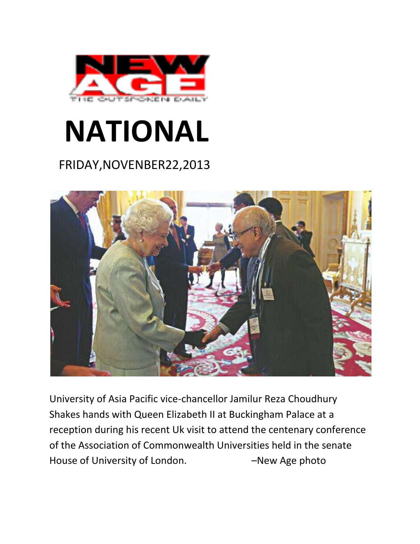

# **NATIONAL**

### FRIDAY,NOVENBER22,2013



University of Asia Pacific vice-chancellor Jamilur Reza Choudhury Shakes hands with Queen Elizabeth II at Buckingham Palace at a reception during his recent Uk visit to attend the centenary conference of the Association of Commonwealth Universities held in the senate House of University of London. – Thew Age photo